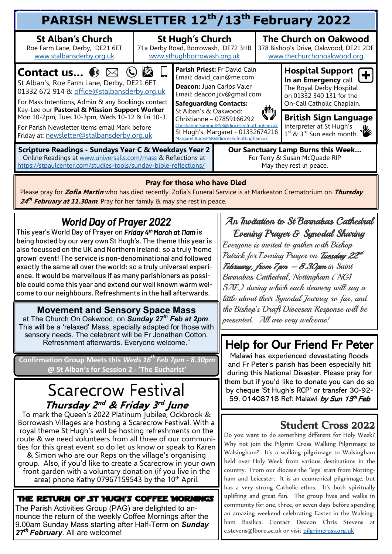| PARISH NEWSLETTER 12th/13th February 2022                                                                                                                                                            |                                                                                                |                                                                                                                                                                                                                                                                                                                                                       |  |                                                                                                                |                                                                                                                                       |  |  |  |
|------------------------------------------------------------------------------------------------------------------------------------------------------------------------------------------------------|------------------------------------------------------------------------------------------------|-------------------------------------------------------------------------------------------------------------------------------------------------------------------------------------------------------------------------------------------------------------------------------------------------------------------------------------------------------|--|----------------------------------------------------------------------------------------------------------------|---------------------------------------------------------------------------------------------------------------------------------------|--|--|--|
| <b>St Alban's Church</b><br>Roe Farm Lane, Derby, DE21 6ET<br>www.stalbansderby.org.uk                                                                                                               | <b>St Hugh's Church</b><br>71a Derby Road, Borrowash, DE72 3HB<br>www.sthughborrowash.org.uk   |                                                                                                                                                                                                                                                                                                                                                       |  |                                                                                                                | <b>The Church on Oakwood</b><br>378 Bishop's Drive, Oakwood, DE21 2DF<br>www.thechurchonoakwood.org                                   |  |  |  |
| <b>Contact us ③ ⊠ ⓒ / ③</b><br>St Alban's, Roe Farm Lane, Derby, DE21 6ET<br>01332 672 914 & office@stalbansderby.org.uk<br>For Mass Intentions, Admin & any Bookings contact                        |                                                                                                | Parish Priest: Fr David Cain<br>Email: david_cain@me.com<br>Deacon: Juan Carlos Valer<br>Email: deacon.jcv@gmail.com<br><b>Safeguarding Contacts:</b><br>رڑا")<br>St Alban's & Oakwood:<br>Christianne - 07859166292<br>Christianne.SammutPSR@dioceseofnottingham.uk<br>St Hugh's: Margaret - 01332674216<br>Margaret.BurnsPSR@dioceseofnottingham.uk |  |                                                                                                                | <b>Hospital Support</b><br>In an Emergency call<br>The Royal Derby Hospital<br>on 01332 340 131 for the<br>On-Call Catholic Chaplain. |  |  |  |
| Kay-Lee our Pastoral & Mission Support Worker<br>Mon 10-2pm, Tues 10-3pm, Weds 10-12 & Fri 10-3.<br>For Parish Newsletter items email Mark before<br>Friday at: newsletter@stalbansderby.org.uk      |                                                                                                |                                                                                                                                                                                                                                                                                                                                                       |  | <b>British Sign Language</b><br>Interpreter at St Hugh's<br>$\frac{1}{1}$ st & 3 <sup>rd</sup> Sun each month. |                                                                                                                                       |  |  |  |
| <b>Scripture Readings - Sundays Year C &amp; Weekdays Year 2</b><br>Online Readings at www.universalis.com/mass & Reflections at<br>https://stpaulcenter.com/studies-tools/sunday-bible-reflections/ | Our Sanctuary Lamp Burns this Week<br>For Terry & Susan McQuade RIP<br>May they rest in peace. |                                                                                                                                                                                                                                                                                                                                                       |  |                                                                                                                |                                                                                                                                       |  |  |  |

#### **Pray for those who have Died**

Please pray for **Zofia Martin** who has died recently. Zofia's Funeral Service is at Markeaton Crematorium on **Thursday**  24<sup>th</sup> February at 11.30am. Pray for her family & may she rest in peace.

## *World Day of Prayer 2022*

This year's World Day of Prayer on *Friday 4th March at 11am* is being hosted by our very own St Hugh's. The theme this year is also focussed on the UK and Northern Ireland: so a truly 'home grown' event! The service is non-denominational and followed exactly the same all over the world: so a truly universal experience. It would be marvellous if as many parishioners as possible could come this year and extend our well known warm welcome to our neighbours. Refreshments in the hall afterwards.

#### **Movement and Sensory Space Mass**

at The Church On Oakwood, on *Sunday 27th Feb at 2pm*. This will be a 'relaxed' Mass, specially adapted for those with sensory needs. The celebrant will be Fr Jonathan Cotton. Refreshment afterwards. Everyone welcome."

**Confirmation Group Meets this** *Weds 16th Feb 7pm - 8.30pm* **@ St Alban's for Session 2 - 'The Eucharist'** 

## Scarecrow Festival **Thursday 2 nd & Friday 3 rd June**

To mark the Queen's 2022 Platinum Jubilee, Ockbrook & Borrowash Villages are hosting a Scarecrow Festival. With a royal theme St Hugh's will be hosting refreshments on the route & we need volunteers from all three of our communities for this great event so do let us know or speak to Karen & Simon who are our Reps on the village's organising group. Also, if you'd like to create a Scarecrow in your own front garden with a voluntary donation (if you live in the area) phone Kathy 07967159543 by the  $10<sup>th</sup>$  April.

The Return of St Hugh's Coffee Mornings The Parish Activities Group (PAG) are delighted to announce the return of the weekly Coffee Mornings after the 9.00am Sunday Mass starting after Half-Term on *Sunday 27th February*. All are welcome!

#### An Invitation to St Barnabas Cathedral Evening Prayer & Synodal Sharing

Everyone is invited to gather with Bishop Patrick for Evening Prayer on *Tuesday 22<sup>ed</sup>* February, from 7 pm – 8.30 pm in Saint Barnabas Cathedral, Nottingham (NG1 5AE) during which each deanery will say a little about their Synodal Journey so far, and the Bishop's Draft Diocesan Response will be presented. All are very welcome!

# Help for Our Friend Fr Peter

Malawi has experienced devastating floods and Fr Peter's parish has been especially hit during this National Disaster. Please pray for them but if you'd like to donate you can do so by cheque 'St Hugh's RCP' or transfer 30-92- 59, 01408718 Ref: Malawi by Sun 13th Feb

### Student Cross 2022

Do you want to do something different for Holy Week? Why not join the Pilgrim Cross Walking Pilgrimage to Walsingham? It's a walking pilgrimage to Walsingham held over Holy Week from various destinations in the country. From our diocese the 'legs' start from Nottingham and Leicester. It is an ecumenical pilgrimage, but has a very strong Catholic ethos. It's both spiritually uplifting and great fun. The group lives and walks in community for one, three, or seven days before spending an amazing weekend celebrating Easter in the Walsingham Basilica. Contact Deacon Chris Stevens at [c.stevens@lboro.ac.uk](mailto:c.stevens@lboro.ac.uk) or visit [pilgrimcross.org.uk](mailto:pilgrimcross.org.uk)